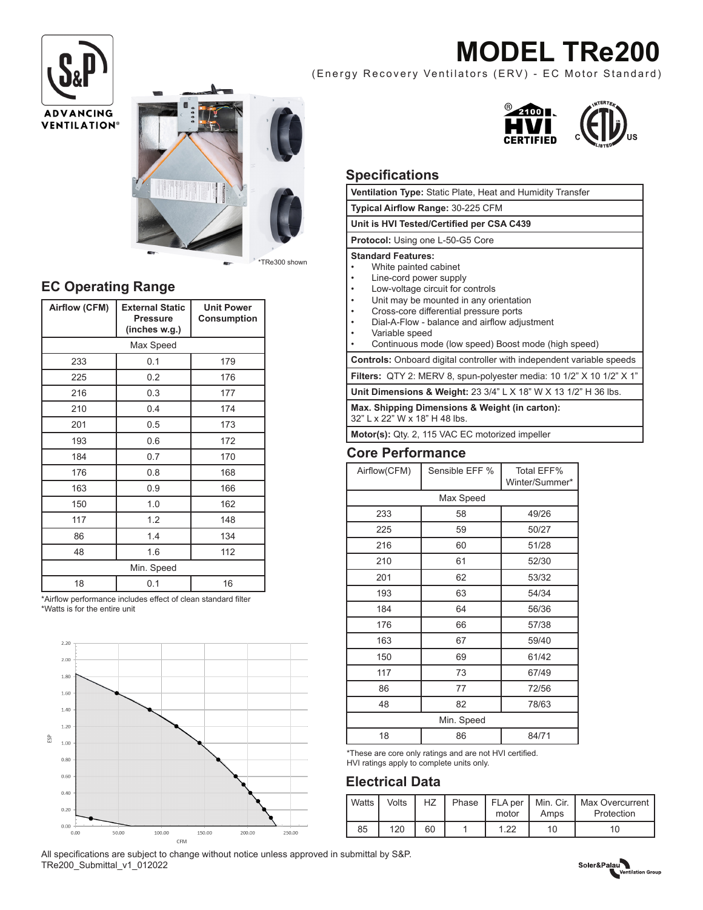# **MODEL TRe200**

(Energy Recovery Ventilators (ERV) - EC Motor Standard)





### **EC Operating Range**

| Airflow (CFM) | <b>External Static</b><br><b>Pressure</b><br>(inches w.g.) | <b>Unit Power</b><br>Consumption |  |  |  |  |  |
|---------------|------------------------------------------------------------|----------------------------------|--|--|--|--|--|
| Max Speed     |                                                            |                                  |  |  |  |  |  |
| 233           | 0.1                                                        | 179                              |  |  |  |  |  |
| 225           | 0.2                                                        | 176                              |  |  |  |  |  |
| 216           | 0.3                                                        | 177                              |  |  |  |  |  |
| 210           | 0.4                                                        | 174                              |  |  |  |  |  |
| 201           | 0.5                                                        | 173                              |  |  |  |  |  |
| 193           | 0.6                                                        | 172                              |  |  |  |  |  |
| 184           | 0.7                                                        | 170                              |  |  |  |  |  |
| 176           | 0.8                                                        | 168                              |  |  |  |  |  |
| 163           | 0.9                                                        | 166                              |  |  |  |  |  |
| 150           | 1.0                                                        | 162                              |  |  |  |  |  |
| 117           | 1.2                                                        | 148                              |  |  |  |  |  |
| 86            | 1.4                                                        | 134                              |  |  |  |  |  |
| 48            | 1.6                                                        | 112                              |  |  |  |  |  |
| Min. Speed    |                                                            |                                  |  |  |  |  |  |
| 18            | 0.1                                                        | 16                               |  |  |  |  |  |

\*Airflow performance includes effect of clean standard filter \*Watts is for the entire unit





#### **Specifications**

| <b>υ</b> μ <del>σ</del> υπισατισπο                                                                                                                                                                                                                                                                                            |                |                              |  |  |  |  |  |
|-------------------------------------------------------------------------------------------------------------------------------------------------------------------------------------------------------------------------------------------------------------------------------------------------------------------------------|----------------|------------------------------|--|--|--|--|--|
| Ventilation Type: Static Plate, Heat and Humidity Transfer                                                                                                                                                                                                                                                                    |                |                              |  |  |  |  |  |
| Typical Airflow Range: 30-225 CFM                                                                                                                                                                                                                                                                                             |                |                              |  |  |  |  |  |
| Unit is HVI Tested/Certified per CSA C439                                                                                                                                                                                                                                                                                     |                |                              |  |  |  |  |  |
| Protocol: Using one L-50-G5 Core                                                                                                                                                                                                                                                                                              |                |                              |  |  |  |  |  |
| <b>Standard Features:</b><br>White painted cabinet<br>Line-cord power supply<br>Low-voltage circuit for controls<br>Unit may be mounted in any orientation<br>Cross-core differential pressure ports<br>Dial-A-Flow - balance and airflow adjustment<br>Variable speed<br>Continuous mode (low speed) Boost mode (high speed) |                |                              |  |  |  |  |  |
| Controls: Onboard digital controller with independent variable speeds                                                                                                                                                                                                                                                         |                |                              |  |  |  |  |  |
| Filters: QTY 2: MERV 8, spun-polyester media: 10 1/2" X 10 1/2" X 1"                                                                                                                                                                                                                                                          |                |                              |  |  |  |  |  |
| Unit Dimensions & Weight: 23 3/4" L X 18" W X 13 1/2" H 36 lbs.                                                                                                                                                                                                                                                               |                |                              |  |  |  |  |  |
| Max. Shipping Dimensions & Weight (in carton):<br>32" L x 22" W x 18" H 48 lbs.                                                                                                                                                                                                                                               |                |                              |  |  |  |  |  |
| Motor(s): Qty. 2, 115 VAC EC motorized impeller                                                                                                                                                                                                                                                                               |                |                              |  |  |  |  |  |
| <b>Core Performance</b>                                                                                                                                                                                                                                                                                                       |                |                              |  |  |  |  |  |
| Airflow(CFM)                                                                                                                                                                                                                                                                                                                  | Sensible EFF % | Total EFF%<br>Winter/Summer* |  |  |  |  |  |
| Max Speed                                                                                                                                                                                                                                                                                                                     |                |                              |  |  |  |  |  |
| 233                                                                                                                                                                                                                                                                                                                           | 58             | 49/26                        |  |  |  |  |  |
| 225                                                                                                                                                                                                                                                                                                                           | 59             | 50/27                        |  |  |  |  |  |
| 216                                                                                                                                                                                                                                                                                                                           | 60             | 51/28                        |  |  |  |  |  |
| 210                                                                                                                                                                                                                                                                                                                           | 61             | 52/30                        |  |  |  |  |  |

201 62 53/32 193 63 54/34 184 64 56/36 176 66 57/38 163 | 67 | 59/40 150 69 61/42 117 73 67/49 86 77 72/56 48 82 78/63 Min. Speed 18 86 84/71

\*These are core only ratings and are not HVI certified. HVI ratings apply to complete units only.

### **Electrical Data**

| <b>Watts</b> | Volts | HZ | motor | Amps | Phase   FLA per   Min. Cir.   Max Overcurrent  <br>Protection |
|--------------|-------|----|-------|------|---------------------------------------------------------------|
| 85           | 120   | 60 | 1.22  | 10   | 10                                                            |

All specifications are subject to change without notice unless approved in submittal by S&P. TRe200\_Submittal\_v1\_012022